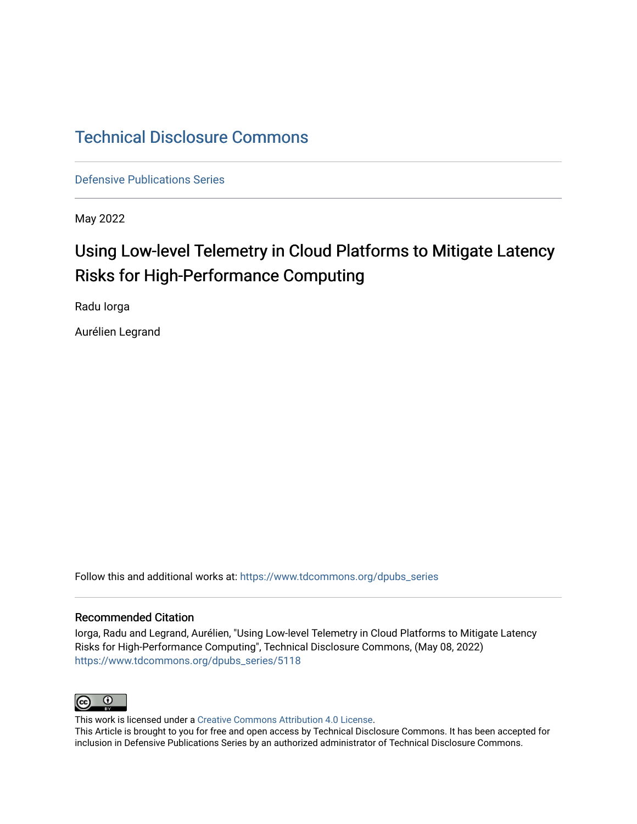## [Technical Disclosure Commons](https://www.tdcommons.org/)

[Defensive Publications Series](https://www.tdcommons.org/dpubs_series)

May 2022

# Using Low-level Telemetry in Cloud Platforms to Mitigate Latency Risks for High-Performance Computing

Radu Iorga

Aurélien Legrand

Follow this and additional works at: [https://www.tdcommons.org/dpubs\\_series](https://www.tdcommons.org/dpubs_series?utm_source=www.tdcommons.org%2Fdpubs_series%2F5118&utm_medium=PDF&utm_campaign=PDFCoverPages) 

#### Recommended Citation

Iorga, Radu and Legrand, Aurélien, "Using Low-level Telemetry in Cloud Platforms to Mitigate Latency Risks for High-Performance Computing", Technical Disclosure Commons, (May 08, 2022) [https://www.tdcommons.org/dpubs\\_series/5118](https://www.tdcommons.org/dpubs_series/5118?utm_source=www.tdcommons.org%2Fdpubs_series%2F5118&utm_medium=PDF&utm_campaign=PDFCoverPages)



This work is licensed under a [Creative Commons Attribution 4.0 License](http://creativecommons.org/licenses/by/4.0/deed.en_US).

This Article is brought to you for free and open access by Technical Disclosure Commons. It has been accepted for inclusion in Defensive Publications Series by an authorized administrator of Technical Disclosure Commons.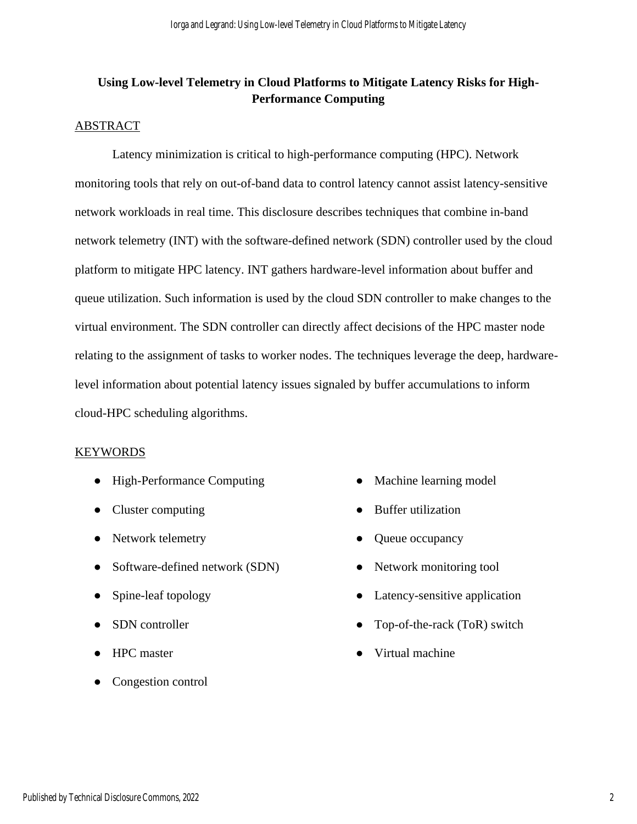### **Using Low-level Telemetry in Cloud Platforms to Mitigate Latency Risks for High-Performance Computing**

#### ABSTRACT

Latency minimization is critical to high-performance computing (HPC). Network monitoring tools that rely on out-of-band data to control latency cannot assist latency-sensitive network workloads in real time. This disclosure describes techniques that combine in-band network telemetry (INT) with the software-defined network (SDN) controller used by the cloud platform to mitigate HPC latency. INT gathers hardware-level information about buffer and queue utilization. Such information is used by the cloud SDN controller to make changes to the virtual environment. The SDN controller can directly affect decisions of the HPC master node relating to the assignment of tasks to worker nodes. The techniques leverage the deep, hardwarelevel information about potential latency issues signaled by buffer accumulations to inform cloud-HPC scheduling algorithms.

#### KEYWORDS

- High-Performance Computing
- Cluster computing
- Network telemetry
- Software-defined network (SDN)
- Spine-leaf topology
- SDN controller
- HPC master
- Congestion control
- Machine learning model
- Buffer utilization
- Queue occupancy
- Network monitoring tool
- Latency-sensitive application
- Top-of-the-rack (ToR) switch
- Virtual machine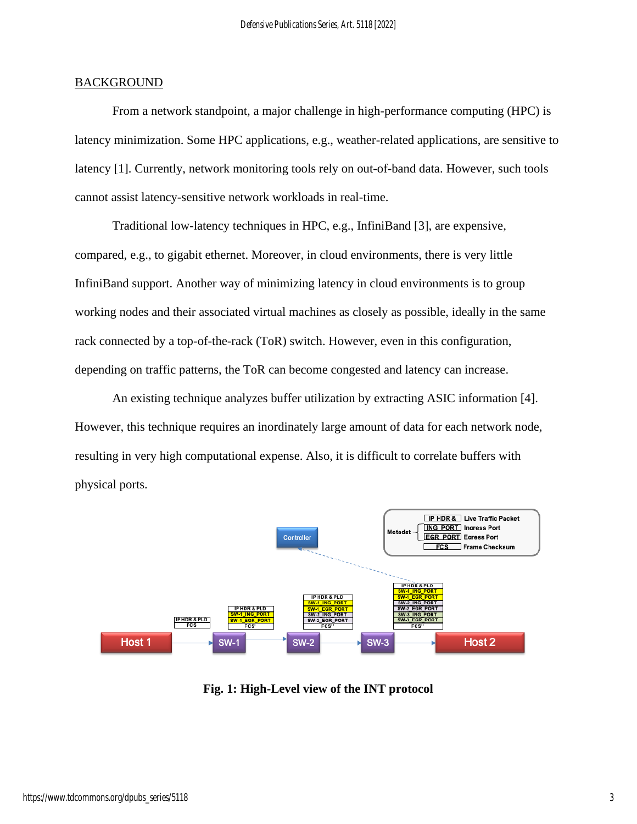#### **BACKGROUND**

From a network standpoint, a major challenge in high-performance computing (HPC) is latency minimization. Some HPC applications, e.g., weather-related applications, are sensitive to latency [1]. Currently, network monitoring tools rely on out-of-band data. However, such tools cannot assist latency-sensitive network workloads in real-time.

Traditional low-latency techniques in HPC, e.g., InfiniBand [3], are expensive, compared, e.g., to gigabit ethernet. Moreover, in cloud environments, there is very little InfiniBand support. Another way of minimizing latency in cloud environments is to group working nodes and their associated virtual machines as closely as possible, ideally in the same rack connected by a top-of-the-rack (ToR) switch. However, even in this configuration, depending on traffic patterns, the ToR can become congested and latency can increase.

An existing technique analyzes buffer utilization by extracting ASIC information [4]. However, this technique requires an inordinately large amount of data for each network node, resulting in very high computational expense. Also, it is difficult to correlate buffers with physical ports.



**Fig. 1: High-Level view of the INT protocol**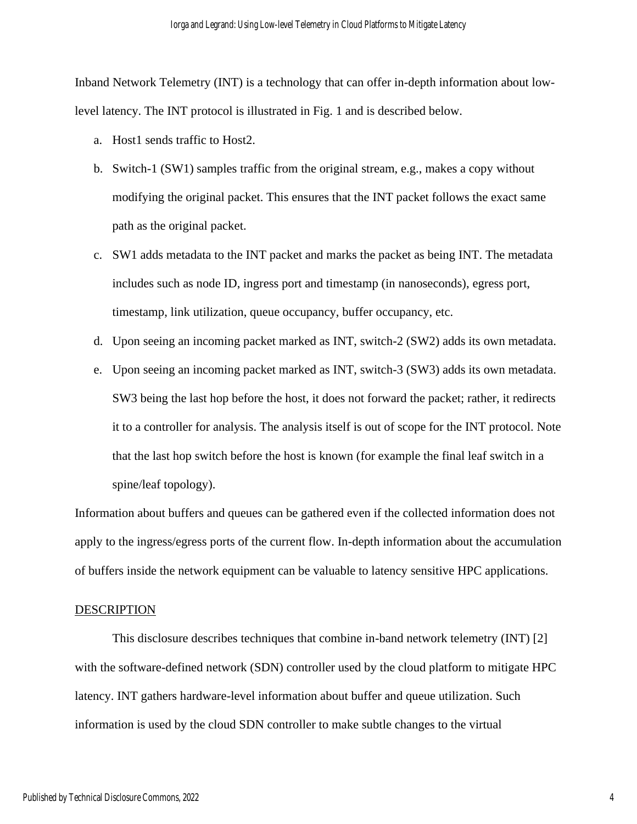Inband Network Telemetry (INT) is a technology that can offer in-depth information about lowlevel latency. The INT protocol is illustrated in Fig. 1 and is described below.

- a. Host1 sends traffic to Host2.
- b. Switch-1 (SW1) samples traffic from the original stream, e.g., makes a copy without modifying the original packet. This ensures that the INT packet follows the exact same path as the original packet.
- c. SW1 adds metadata to the INT packet and marks the packet as being INT. The metadata includes such as node ID, ingress port and timestamp (in nanoseconds), egress port, timestamp, link utilization, queue occupancy, buffer occupancy, etc.
- d. Upon seeing an incoming packet marked as INT, switch-2 (SW2) adds its own metadata.
- e. Upon seeing an incoming packet marked as INT, switch-3 (SW3) adds its own metadata. SW3 being the last hop before the host, it does not forward the packet; rather, it redirects it to a controller for analysis. The analysis itself is out of scope for the INT protocol. Note that the last hop switch before the host is known (for example the final leaf switch in a spine/leaf topology).

Information about buffers and queues can be gathered even if the collected information does not apply to the ingress/egress ports of the current flow. In-depth information about the accumulation of buffers inside the network equipment can be valuable to latency sensitive HPC applications.

#### **DESCRIPTION**

This disclosure describes techniques that combine in-band network telemetry (INT) [2] with the software-defined network (SDN) controller used by the cloud platform to mitigate HPC latency. INT gathers hardware-level information about buffer and queue utilization. Such information is used by the cloud SDN controller to make subtle changes to the virtual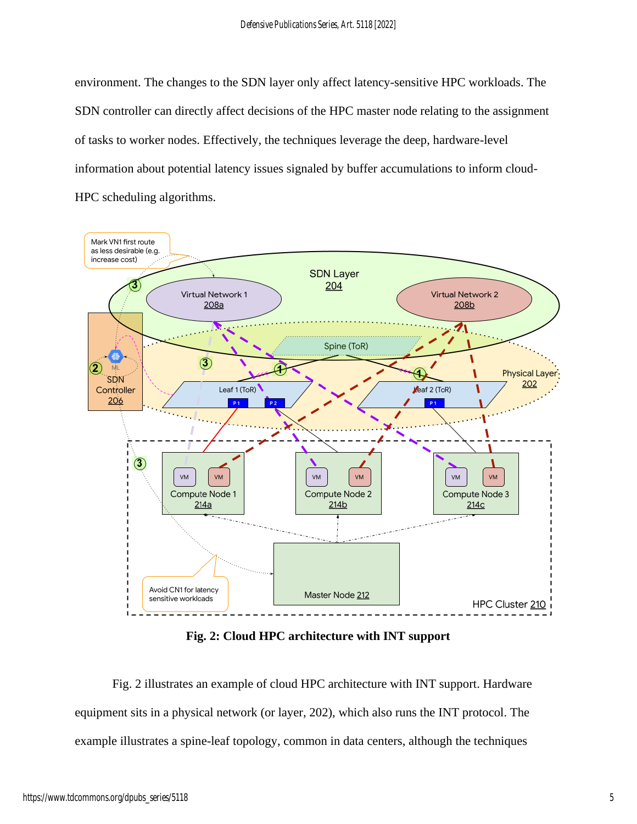environment. The changes to the SDN layer only affect latency-sensitive HPC workloads. The SDN controller can directly affect decisions of the HPC master node relating to the assignment of tasks to worker nodes. Effectively, the techniques leverage the deep, hardware-level information about potential latency issues signaled by buffer accumulations to inform cloud-HPC scheduling algorithms.



**Fig. 2: Cloud HPC architecture with INT support**

Fig. 2 illustrates an example of cloud HPC architecture with INT support. Hardware equipment sits in a physical network (or layer, 202), which also runs the INT protocol. The example illustrates a spine-leaf topology, common in data centers, although the techniques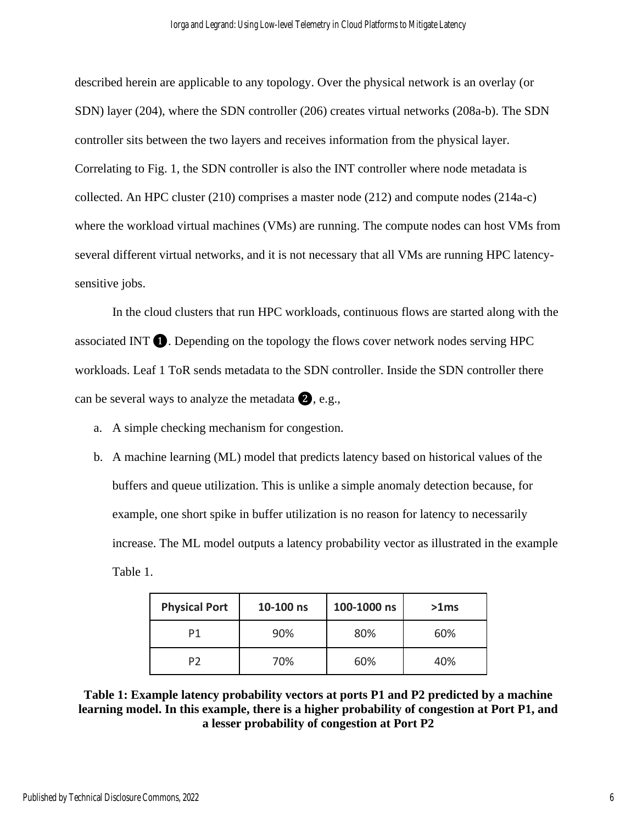described herein are applicable to any topology. Over the physical network is an overlay (or SDN) layer (204), where the SDN controller (206) creates virtual networks (208a-b). The SDN controller sits between the two layers and receives information from the physical layer. Correlating to Fig. 1, the SDN controller is also the INT controller where node metadata is collected. An HPC cluster (210) comprises a master node (212) and compute nodes (214a-c) where the workload virtual machines (VMs) are running. The compute nodes can host VMs from several different virtual networks, and it is not necessary that all VMs are running HPC latencysensitive jobs.

In the cloud clusters that run HPC workloads, continuous flows are started along with the associated INT ❶. Depending on the topology the flows cover network nodes serving HPC workloads. Leaf 1 ToR sends metadata to the SDN controller. Inside the SDN controller there can be several ways to analyze the metadata ❷, e.g.,

- a. A simple checking mechanism for congestion.
- b. A machine learning (ML) model that predicts latency based on historical values of the buffers and queue utilization. This is unlike a simple anomaly detection because, for example, one short spike in buffer utilization is no reason for latency to necessarily increase. The ML model outputs a latency probability vector as illustrated in the example Table 1.

| <b>Physical Port</b> | 10-100 ns | 100-1000 ns | >1ms |
|----------------------|-----------|-------------|------|
| P1                   | 90%       | 80%         | 60%  |
| P2                   | 70%       | 60%         | 40%  |

**Table 1: Example latency probability vectors at ports P1 and P2 predicted by a machine learning model. In this example, there is a higher probability of congestion at Port P1, and a lesser probability of congestion at Port P2**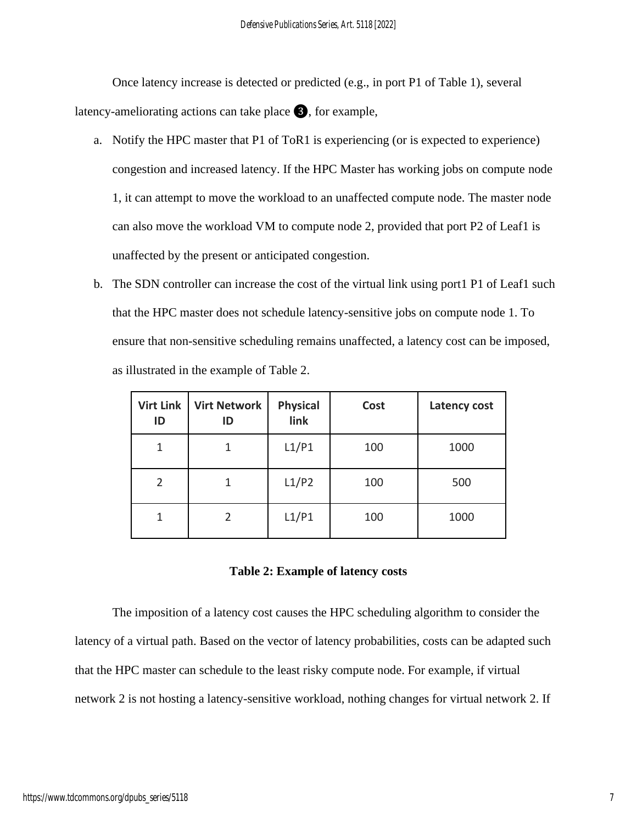Once latency increase is detected or predicted (e.g., in port P1 of Table 1), several latency-ameliorating actions can take place ❸, for example,

- a. Notify the HPC master that P1 of ToR1 is experiencing (or is expected to experience) congestion and increased latency. If the HPC Master has working jobs on compute node 1, it can attempt to move the workload to an unaffected compute node. The master node can also move the workload VM to compute node 2, provided that port P2 of Leaf1 is unaffected by the present or anticipated congestion.
- b. The SDN controller can increase the cost of the virtual link using port1 P1 of Leaf1 such that the HPC master does not schedule latency-sensitive jobs on compute node 1. To ensure that non-sensitive scheduling remains unaffected, a latency cost can be imposed, as illustrated in the example of Table 2.

| <b>Virt Link</b><br>ID | <b>Virt Network</b><br>ID | <b>Physical</b><br>link | <b>Cost</b> | Latency cost |
|------------------------|---------------------------|-------------------------|-------------|--------------|
| 1                      |                           | L1/P1                   | 100         | 1000         |
| 2                      |                           | L1/P2                   | 100         | 500          |
| 1                      |                           | L1/P1                   | 100         | 1000         |

#### **Table 2: Example of latency costs**

The imposition of a latency cost causes the HPC scheduling algorithm to consider the latency of a virtual path. Based on the vector of latency probabilities, costs can be adapted such that the HPC master can schedule to the least risky compute node. For example, if virtual network 2 is not hosting a latency-sensitive workload, nothing changes for virtual network 2. If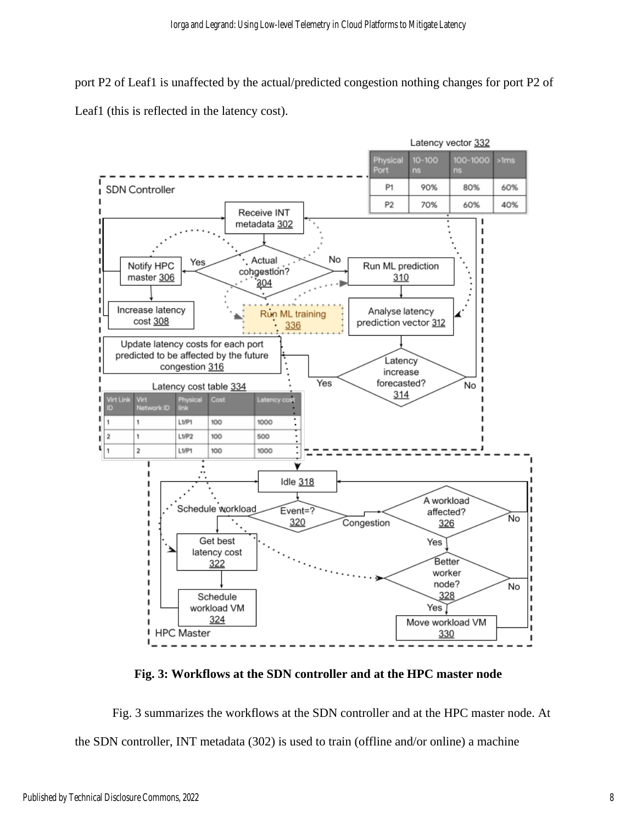port P2 of Leaf1 is unaffected by the actual/predicted congestion nothing changes for port P2 of Leaf1 (this is reflected in the latency cost).



**Fig. 3: Workflows at the SDN controller and at the HPC master node**

Fig. 3 summarizes the workflows at the SDN controller and at the HPC master node. At the SDN controller, INT metadata (302) is used to train (offline and/or online) a machine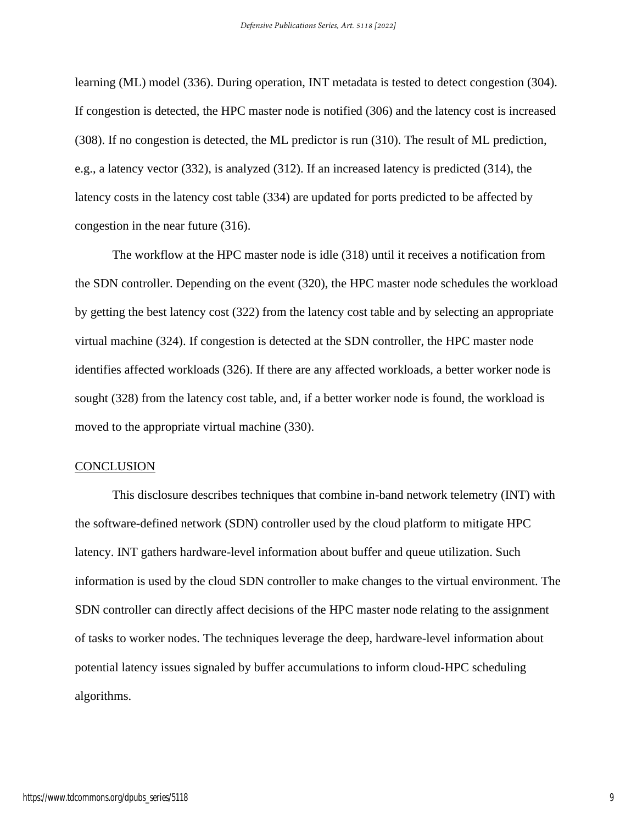learning (ML) model (336). During operation, INT metadata is tested to detect congestion (304). If congestion is detected, the HPC master node is notified (306) and the latency cost is increased (308). If no congestion is detected, the ML predictor is run (310). The result of ML prediction, e.g., a latency vector (332), is analyzed (312). If an increased latency is predicted (314), the latency costs in the latency cost table (334) are updated for ports predicted to be affected by congestion in the near future (316).

The workflow at the HPC master node is idle (318) until it receives a notification from the SDN controller. Depending on the event (320), the HPC master node schedules the workload by getting the best latency cost (322) from the latency cost table and by selecting an appropriate virtual machine (324). If congestion is detected at the SDN controller, the HPC master node identifies affected workloads (326). If there are any affected workloads, a better worker node is sought (328) from the latency cost table, and, if a better worker node is found, the workload is moved to the appropriate virtual machine (330).

#### **CONCLUSION**

This disclosure describes techniques that combine in-band network telemetry (INT) with the software-defined network (SDN) controller used by the cloud platform to mitigate HPC latency. INT gathers hardware-level information about buffer and queue utilization. Such information is used by the cloud SDN controller to make changes to the virtual environment. The SDN controller can directly affect decisions of the HPC master node relating to the assignment of tasks to worker nodes. The techniques leverage the deep, hardware-level information about potential latency issues signaled by buffer accumulations to inform cloud-HPC scheduling algorithms.